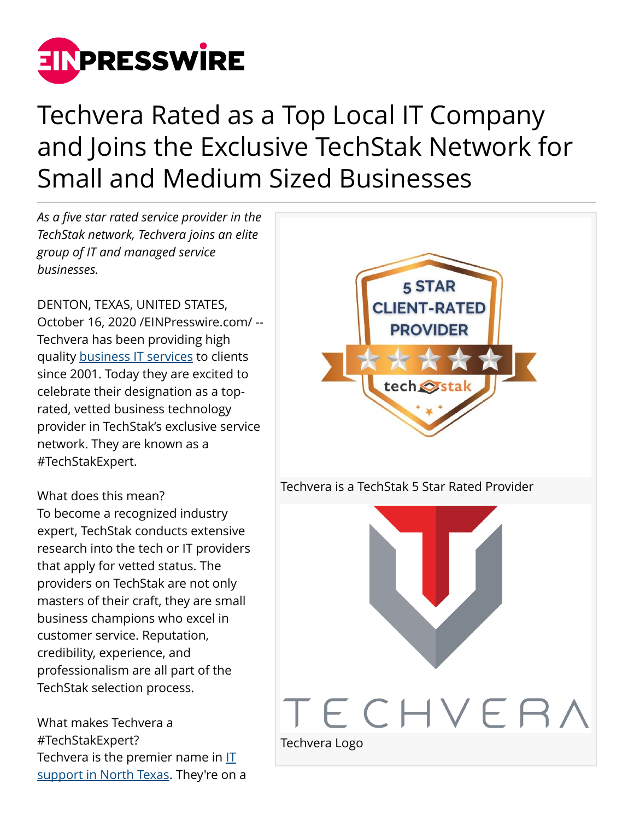

## Techvera Rated as a Top Local IT Company and Joins the Exclusive TechStak Network for Small and Medium Sized Businesses

*As a five star rated service provider in the TechStak network, Techvera joins an elite group of IT and managed service businesses.*

DENTON, TEXAS, UNITED STATES, October 16, 2020 [/EINPresswire.com](http://www.einpresswire.com)/ -- Techvera has been providing high quality [business IT services](https://techvera.com/business-services/) to clients since 2001. Today they are excited to celebrate their designation as a toprated, vetted business technology provider in TechStak's exclusive service network. They are known as a #TechStakExpert.

What does this mean? To become a recognized industry expert, TechStak conducts extensive research into the tech or IT providers that apply for vetted status. The providers on TechStak are not only masters of their craft, they are small business champions who excel in customer service. Reputation, credibility, experience, and professionalism are all part of the TechStak selection process.

What makes Techvera a #TechStakExpert? Techvera is the premier name in [IT](https://techvera.com/dallas-business-it-support-services/) [support in North Texas.](https://techvera.com/dallas-business-it-support-services/) They're on a